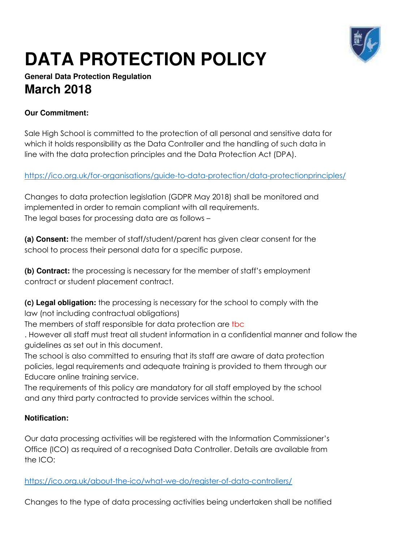

# **DATA PROTECTION POLICY**

## **General Data Protection Regulation March 2018**

## **Our Commitment:**

Sale High School is committed to the protection of all personal and sensitive data for which it holds responsibility as the Data Controller and the handling of such data in line with the data protection principles and the Data Protection Act (DPA).

<https://ico.org.uk/for-organisations/guide-to-data-protection/data-protectionprinciples/>

Changes to data protection legislation (GDPR May 2018) shall be monitored and implemented in order to remain compliant with all requirements. The legal bases for processing data are as follows –

**(a) Consent:** the member of staff/student/parent has given clear consent for the school to process their personal data for a specific purpose.

**(b) Contract:** the processing is necessary for the member of staff's employment contract or student placement contract.

**(c) Legal obligation:** the processing is necessary for the school to comply with the law (not including contractual obligations)

The members of staff responsible for data protection are tbc

. However all staff must treat all student information in a confidential manner and follow the guidelines as set out in this document.

The school is also committed to ensuring that its staff are aware of data protection policies, legal requirements and adequate training is provided to them through our Educare online training service.

The requirements of this policy are mandatory for all staff employed by the school and any third party contracted to provide services within the school.

#### **Notification:**

Our data processing activities will be registered with the Information Commissioner's Office (ICO) as required of a recognised Data Controller. Details are available from the ICO:

<https://ico.org.uk/about-the-ico/what-we-do/register-of-data-controllers/>

Changes to the type of data processing activities being undertaken shall be notified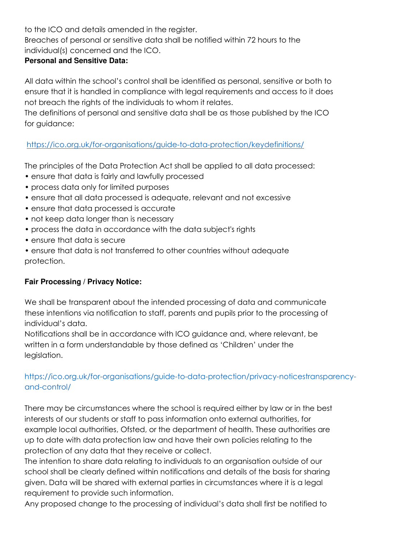to the ICO and details amended in the register.

Breaches of personal or sensitive data shall be notified within 72 hours to the individual(s) concerned and the ICO.

#### **Personal and Sensitive Data:**

All data within the school's control shall be identified as personal, sensitive or both to ensure that it is handled in compliance with legal requirements and access to it does not breach the rights of the individuals to whom it relates.

The definitions of personal and sensitive data shall be as those published by the ICO for guidance:

<https://ico.org.uk/for-organisations/guide-to-data-protection/keydefinitions/>

The principles of the Data Protection Act shall be applied to all data processed:

- ensure that data is fairly and lawfully processed
- process data only for limited purposes
- ensure that all data processed is adequate, relevant and not excessive
- ensure that data processed is accurate
- not keep data longer than is necessary
- process the data in accordance with the data subject's rights
- ensure that data is secure
- ensure that data is not transferred to other countries without adequate protection.

#### **Fair Processing / Privacy Notice:**

We shall be transparent about the intended processing of data and communicate these intentions via notification to staff, parents and pupils prior to the processing of individual's data.

Notifications shall be in accordance with ICO guidance and, where relevant, be written in a form understandable by those defined as 'Children' under the legislation.

## https://ico.org.uk/for-organisations/guide-to-data-protection/privacy-noticestransparencyand-control/

There may be circumstances where the school is required either by law or in the best interests of our students or staff to pass information onto external authorities, for example local authorities, Ofsted, or the department of health. These authorities are up to date with data protection law and have their own policies relating to the protection of any data that they receive or collect.

The intention to share data relating to individuals to an organisation outside of our school shall be clearly defined within notifications and details of the basis for sharing given. Data will be shared with external parties in circumstances where it is a legal requirement to provide such information.

Any proposed change to the processing of individual's data shall first be notified to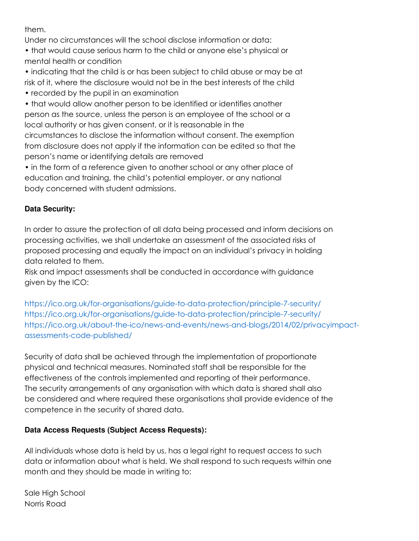them.

Under no circumstances will the school disclose information or data:

• that would cause serious harm to the child or anyone else's physical or mental health or condition

• indicating that the child is or has been subject to child abuse or may be at risk of it, where the disclosure would not be in the best interests of the child

• recorded by the pupil in an examination

• that would allow another person to be identified or identifies another person as the source, unless the person is an employee of the school or a local authority or has given consent, or it is reasonable in the circumstances to disclose the information without consent. The exemption from disclosure does not apply if the information can be edited so that the person's name or identifying details are removed

• in the form of a reference given to another school or any other place of education and training, the child's potential employer, or any national body concerned with student admissions.

### **Data Security:**

In order to assure the protection of all data being processed and inform decisions on processing activities, we shall undertake an assessment of the associated risks of proposed processing and equally the impact on an individual's privacy in holding data related to them.

Risk and impact assessments shall be conducted in accordance with guidance given by the ICO:

https://ico.org.uk/for-organisations/guide-to-data-protection/principle-7-security/ https://ico.org.uk/for-organisations/guide-to-data-protection/principle-7-security/ https://ico.org.uk/about-the-ico/news-and-events/news-and-blogs/2014/02/privacyimpactassessments-code-published/

Security of data shall be achieved through the implementation of proportionate physical and technical measures. Nominated staff shall be responsible for the effectiveness of the controls implemented and reporting of their performance. The security arrangements of any organisation with which data is shared shall also be considered and where required these organisations shall provide evidence of the competence in the security of shared data.

## **Data Access Requests (Subject Access Requests):**

All individuals whose data is held by us, has a legal right to request access to such data or information about what is held. We shall respond to such requests within one month and they should be made in writing to:

Sale High School Norris Road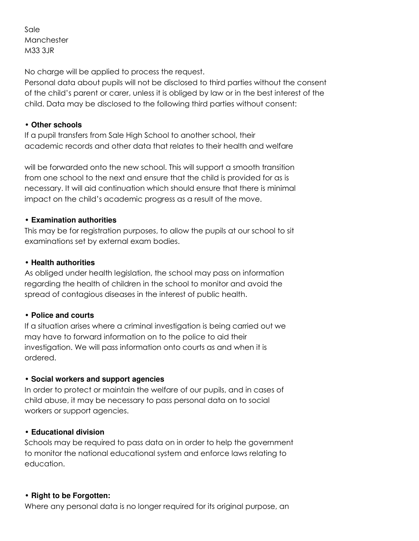Sale Manchester M33 3JR

No charge will be applied to process the request.

Personal data about pupils will not be disclosed to third parties without the consent of the child's parent or carer, unless it is obliged by law or in the best interest of the child. Data may be disclosed to the following third parties without consent:

#### • **Other schools**

If a pupil transfers from Sale High School to another school, their academic records and other data that relates to their health and welfare

will be forwarded onto the new school. This will support a smooth transition from one school to the next and ensure that the child is provided for as is necessary. It will aid continuation which should ensure that there is minimal impact on the child's academic progress as a result of the move.

#### • **Examination authorities**

This may be for registration purposes, to allow the pupils at our school to sit examinations set by external exam bodies.

#### • **Health authorities**

As obliged under health legislation, the school may pass on information regarding the health of children in the school to monitor and avoid the spread of contagious diseases in the interest of public health.

#### • **Police and courts**

If a situation arises where a criminal investigation is being carried out we may have to forward information on to the police to aid their investigation. We will pass information onto courts as and when it is ordered.

#### • **Social workers and support agencies**

In order to protect or maintain the welfare of our pupils, and in cases of child abuse, it may be necessary to pass personal data on to social workers or support agencies.

#### • **Educational division**

Schools may be required to pass data on in order to help the government to monitor the national educational system and enforce laws relating to education.

#### • **Right to be Forgotten:**

Where any personal data is no longer required for its original purpose, an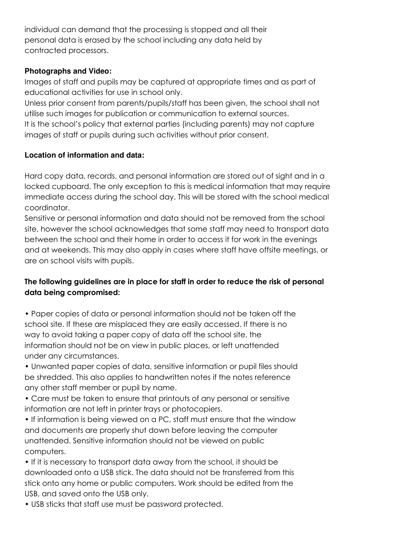individual can demand that the processing is stopped and all their personal data is erased by the school including any data held by contracted processors.

#### **Photographs and Video:**

Images of staff and pupils may be captured at appropriate times and as part of educational activities for use in school only.

Unless prior consent from parents/pupils/staff has been given, the school shall not utilise such images for publication or communication to external sources. It is the school's policy that external parties (including parents) may not capture images of staff or pupils during such activities without prior consent.

#### **Location of information and data:**

Hard copy data, records, and personal information are stored out of sight and in a locked cupboard. The only exception to this is medical information that may require immediate access during the school day. This will be stored with the school medical coordinator.

Sensitive or personal information and data should not be removed from the school site, however the school acknowledges that some staff may need to transport data between the school and their home in order to access it for work in the evenings and at weekends. This may also apply in cases where staff have offsite meetings, or are on school visits with pupils.

## **The following guidelines are in place for staff in order to reduce the risk of personal data being compromised:**

• Paper copies of data or personal information should not be taken off the school site. If these are misplaced they are easily accessed. If there is no way to avoid taking a paper copy of data off the school site, the information should not be on view in public places, or left unattended under any circumstances.

• Unwanted paper copies of data, sensitive information or pupil files should be shredded. This also applies to handwritten notes if the notes reference any other staff member or pupil by name.

• Care must be taken to ensure that printouts of any personal or sensitive information are not left in printer trays or photocopiers.

• If information is being viewed on a PC, staff must ensure that the window and documents are properly shut down before leaving the computer unattended. Sensitive information should not be viewed on public computers.

• If it is necessary to transport data away from the school, it should be downloaded onto a USB stick. The data should not be transferred from this stick onto any home or public computers. Work should be edited from the USB, and saved onto the USB only.

• USB sticks that staff use must be password protected.